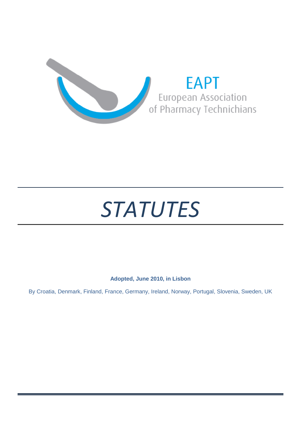



# **Adopted, June 2010, in Lisbon**

By Croatia, Denmark, Finland, France, Germany, Ireland, Norway, Portugal, Slovenia, Sweden, UK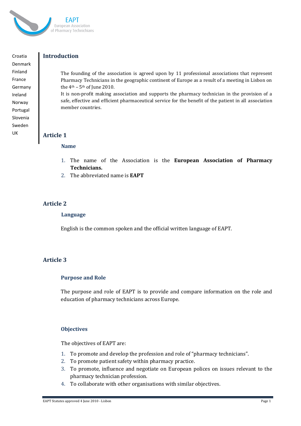

Croatia Denmark Finland France Germany Ireland Norway Portugal Slovenia Sweden UK

## **Introduction**

The founding of the association is agreed upon by 11 professional associations that represent Pharmacy Technicians in the geographic continent of Europe as a result of a meeting in Lisbon on the  $4<sup>th</sup> - 5<sup>th</sup>$  of June 2010.

It is non-profit making association and supports the pharmacy technician in the provision of a safe, effective and efficient pharmaceutical service for the benefit of the patient in all association member countries.

### **Article 1**

### **Name**

- 1. The name of the Association is the **European Association of Pharmacy Technicians.**
- 2. The abbreviated name is **EAPT**

## **Article 2**

#### **Language**

English is the common spoken and the official written language of EAPT.

### **Article 3**

### **Purpose and Role**

The purpose and role of EAPT is to provide and compare information on the role and education of pharmacy technicians across Europe.

### **Objectives**

The objectives of EAPT are:

- 1. To promote and develop the profession and role of "pharmacy technicians".
- 2. To promote patient safety within pharmacy practice.
- 3. To promote, influence and negotiate on European polices on issues relevant to the pharmacy technician profession.
- 4. To collaborate with other organisations with similar objectives.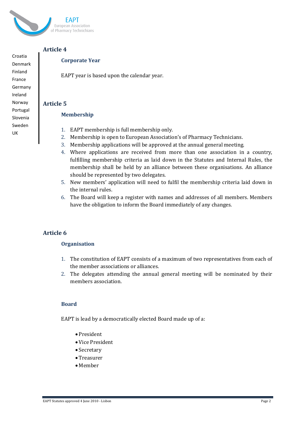

# **Article 4**

Croatia Denmark Finland France Germany Ireland Norway Portugal Slovenia Sweden UK

# **Corporate Year**

EAPT year is based upon the calendar year.

## **Article 5**

### **Membership**

- 1. EAPT membership is full membership only.
- 2. Membership is open to European Association's of Pharmacy Technicians.
- 3. Membership applications will be approved at the annual general meeting.
- 4. Where applications are received from more than one association in a country, fulfilling membership criteria as laid down in the Statutes and Internal Rules, the membership shall be held by an alliance between these organisations. An alliance should be represented by two delegates.
- 5. New members' application will need to fulfil the membership criteria laid down in the internal rules.
- 6. The Board will keep a register with names and addresses of all members. Members have the obligation to inform the Board immediately of any changes.

# **Article 6**

### **Organisation**

- 1. The constitution of EAPT consists of a maximum of two representatives from each of the member associations or alliances.
- 2. The delegates attending the annual general meeting will be nominated by their members association.

### **Board**

EAPT is lead by a democratically elected Board made up of a:

- President
- Vice President
- Secretary
- Treasurer
- Member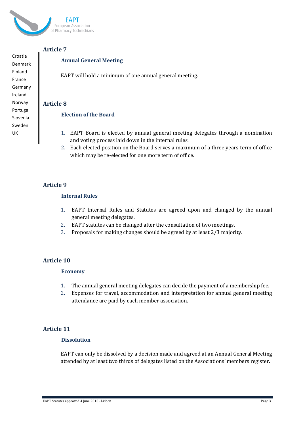

Denmark

Croatia

Finland France Germany Ireland Norway Portugal Slovenia Sweden UK

# **Article 7**

# **Annual General Meeting**

EAPT will hold a minimum of one annual general meeting.

### **Article 8**

### **Election of the Board**

- 1. EAPT Board is elected by annual general meeting delegates through a nomination and voting process laid down in the internal rules.
- 2. Each elected position on the Board serves a maximum of a three years term of office which may be re-elected for one more term of office.

# **Article 9**

### **Internal Rules**

- 1. EAPT Internal Rules and Statutes are agreed upon and changed by the annual general meeting delegates.
- 2. EAPT statutes can be changed after the consultation of two meetings.
- 3. Proposals for making changes should be agreed by at least 2/3 majority.

## **Article 10**

### **Economy**

- 1. The annual general meeting delegates can decide the payment of a membership fee.
- 2. Expenses for travel, accommodation and interpretation for annual general meeting attendance are paid by each member association.

# **Article 11**

### **Dissolution**

EAPT can only be dissolved by a decision made and agreed at an Annual General Meeting attended by at least two thirds of delegates listed on the Associations' members register.